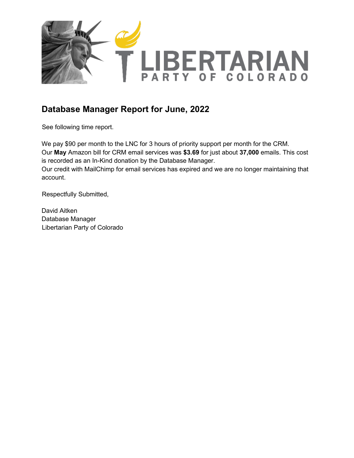

## **Database Manager Report for June, 2022**

See following time report.

We pay \$90 per month to the LNC for 3 hours of priority support per month for the CRM. Our **May** Amazon bill for CRM email services was **\$3.69** for just about **37,000** emails. This cost is recorded as an In-Kind donation by the Database Manager.

Our credit with MailChimp for email services has expired and we are no longer maintaining that account.

Respectfully Submitted,

David Aitken Database Manager Libertarian Party of Colorado